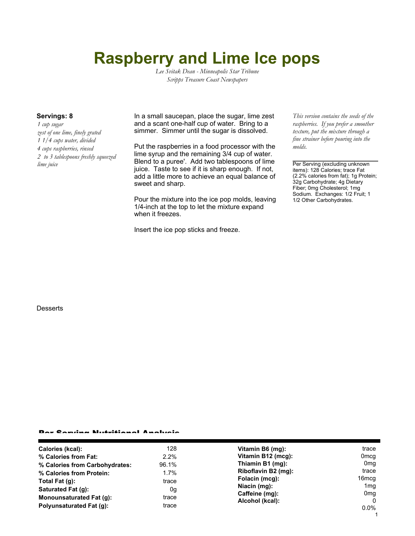# **Raspberry and Lime Ice pops**

*Lee Svitak Dean - Minneapolis Star Tribune Scripps Treasure Coast Newspapers*

*1 cup sugar zest of one lime, finely grated 1 1/4 cups water, divided 4 cups raspberries, rinsed 2 to 3 tablespoons freshly squeezed*

**Servings: 8** In a small saucepan, place the sugar, lime zest and a scant one-half cup of water. Bring to a simmer. Simmer until the sugar is dissolved.

Put the raspberries in a food processor with the lime syrup and the remaining 3/4 cup of water. Blend to a puree'. Add two tablespoons of lime *lime juice* Per Serving (excluding unknown juice. Taste to see if it is sharp enough. If not, add a little more to achieve an equal balance of sweet and sharp.

> Pour the mixture into the ice pop molds, leaving 1/4-inch at the top to let the mixture expand when it freezes.

Insert the ice pop sticks and freeze.

*This version contains the seeds of the raspberries. If you prefer a smoother texture, put the mixture through a fine strainer before pouring into the molds.*

items): 128 Calories; trace Fat (2.2% calories from fat); 1g Protein; 32g Carbohydrate; 4g Dietary Fiber; 0mg Cholesterol; 1mg Sodium. Exchanges: 1/2 Fruit; 1 1/2 Other Carbohydrates.

#### **Desserts**

#### Per Serving Nutritional Analysis

| Calories (kcal):                | 128     | Vitamin B6 (mg):    | trace           |
|---------------------------------|---------|---------------------|-----------------|
| % Calories from Fat:            | 2.2%    | Vitamin B12 (mcg):  | Omcg            |
| % Calories from Carbohydrates:  | 96.1%   | Thiamin B1 (mg):    | 0 <sub>mq</sub> |
| % Calories from Protein:        | $1.7\%$ | Riboflavin B2 (mg): | trace           |
| Total Fat (q):                  | trace   | Folacin (mcg):      | 16mcg           |
| Saturated Fat (g):              | 0g      | Niacin (mg):        | 1 <sub>mq</sub> |
| <b>Monounsaturated Fat (g):</b> | trace   | Caffeine (mg):      | 0 <sub>mg</sub> |
|                                 |         | Alcohol (kcal):     | $\Omega$        |
| Polyunsaturated Fat (q):        | trace   |                     | $0.0\%$         |